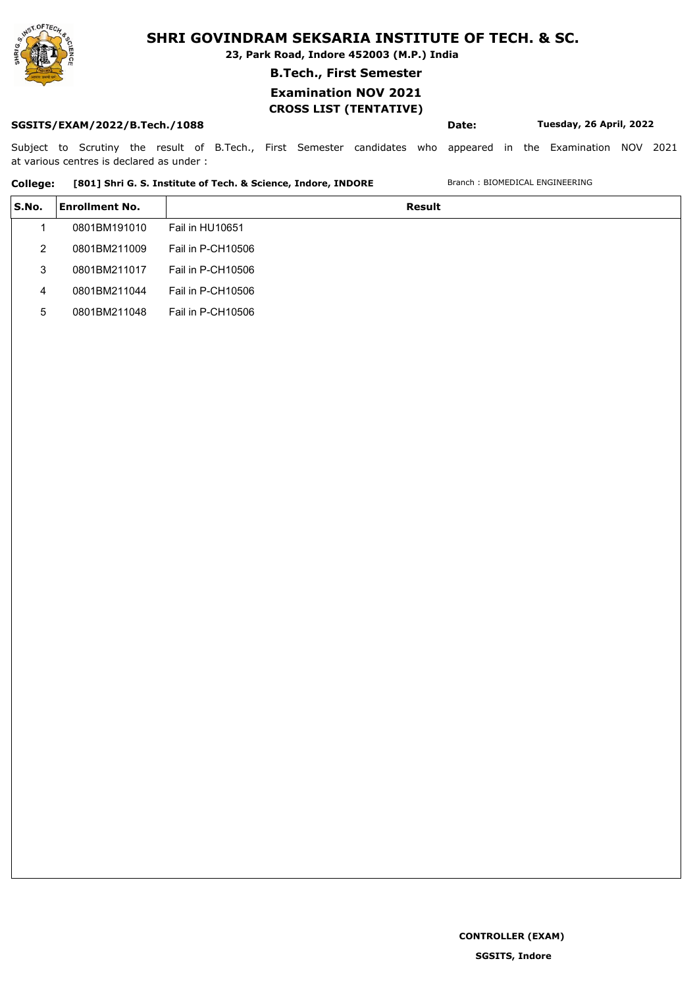

**23, Park Road, Indore 452003 (M.P.) India**

### **B.Tech., First Semester**

## **Examination NOV 2021**

## **CROSS LIST (TENTATIVE)**

### **SGSITS/EXAM/2022/B.Tech./1088 Date: Tuesday, 26 April, 2022**

Subject to Scrutiny the result of B.Tech., First Semester candidates who appeared in the Examination NOV 2021 at various centres is declared as under :

#### College: [801] Shri G. S. Institute of Tech. & Science, Indore, INDORE Branch : BIOMEDICAL ENGINEERING

| S.No. | Enrollment No. | Result            |
|-------|----------------|-------------------|
|       | 0801BM191010   | Fail in HU10651   |
| 2     | 0801BM211009   | Fail in P-CH10506 |
| 3     | 0801BM211017   | Fail in P-CH10506 |
| 4     | 0801BM211044   | Fail in P-CH10506 |
| 5     | 0801BM211048   | Fail in P-CH10506 |

**CONTROLLER (EXAM)**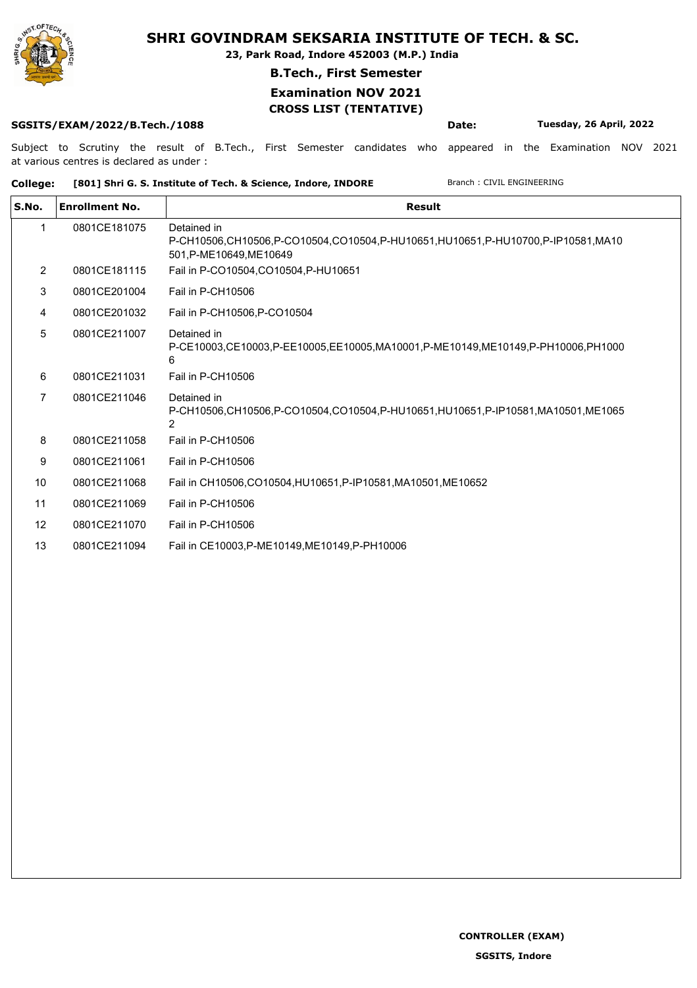

**23, Park Road, Indore 452003 (M.P.) India**

### **B.Tech., First Semester**

### **Examination NOV 2021 CROSS LIST (TENTATIVE)**

#### **SGSITS/EXAM/2022/B.Tech./1088 Date: Tuesday, 26 April, 2022**

Subject to Scrutiny the result of B.Tech., First Semester candidates who appeared in the Examination NOV 2021 at various centres is declared as under :

#### College: [801] Shri G. S. Institute of Tech. & Science, Indore, INDORE Branch : CIVIL ENGINEERING

| S.No.             | <b>Enrollment No.</b> | <b>Result</b>                                                                                                            |
|-------------------|-----------------------|--------------------------------------------------------------------------------------------------------------------------|
|                   | 0801CE181075          | Detained in<br>P-CH10506,CH10506,P-CO10504,CO10504,P-HU10651,HU10651,P-HU10700,P-IP10581,MA10<br>501, P-ME10649, ME10649 |
| $\overline{2}$    | 0801CE181115          | Fail in P-CO10504, CO10504, P-HU10651                                                                                    |
| 3                 | 0801CE201004          | Fail in P-CH10506                                                                                                        |
| 4                 | 0801CE201032          | Fail in P-CH10506, P-CO10504                                                                                             |
| 5                 | 0801CE211007          | Detained in<br>P-CE10003,CE10003,P-EE10005,EE10005,MA10001,P-ME10149,ME10149,P-PH10006,PH1000<br>6                       |
| 6                 | 0801CE211031          | Fail in P-CH10506                                                                                                        |
| 7                 | 0801CE211046          | Detained in<br>P-CH10506,CH10506,P-CO10504,CO10504,P-HU10651,HU10651,P-IP10581,MA10501,ME1065<br>2                       |
| 8                 | 0801CE211058          | Fail in P-CH10506                                                                                                        |
| 9                 | 0801CE211061          | Fail in P-CH10506                                                                                                        |
| 10                | 0801CE211068          | Fail in CH10506, CO10504, HU10651, P-IP10581, MA10501, ME10652                                                           |
| 11                | 0801CE211069          | Fail in P-CH10506                                                                                                        |
| $12 \overline{ }$ | 0801CE211070          | Fail in P-CH10506                                                                                                        |
| 13                | 0801CE211094          | Fail in CE10003, P-ME10149, ME10149, P-PH10006                                                                           |
|                   |                       |                                                                                                                          |

**CONTROLLER (EXAM)**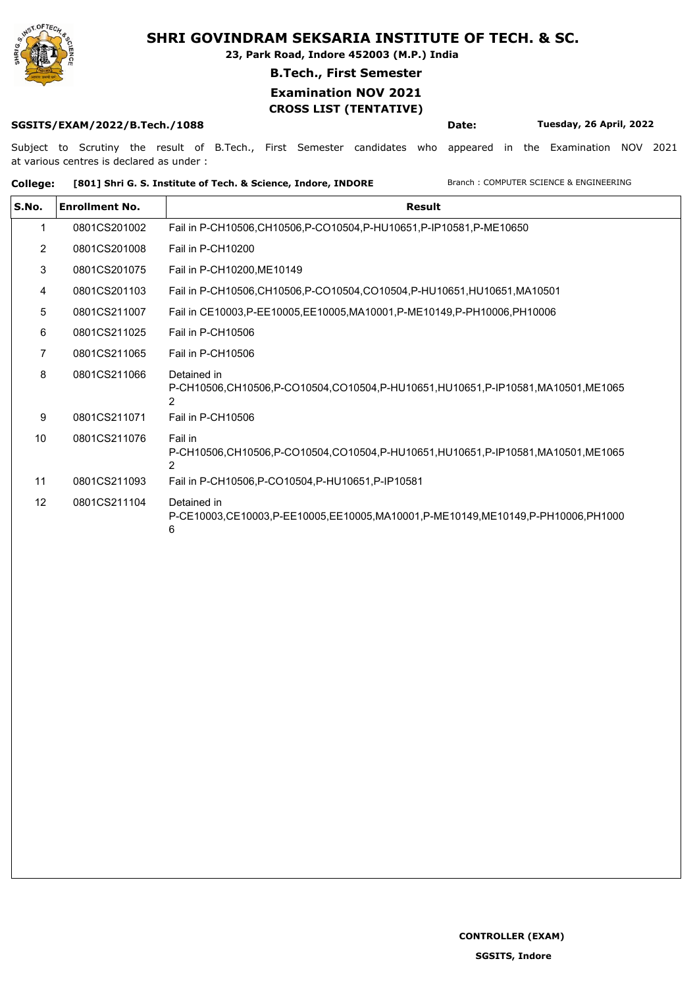

**23, Park Road, Indore 452003 (M.P.) India**

### **B.Tech., First Semester**

### **Examination NOV 2021 CROSS LIST (TENTATIVE)**

#### **SGSITS/EXAM/2022/B.Tech./1088 Date: Tuesday, 26 April, 2022**

Subject to Scrutiny the result of B.Tech., First Semester candidates who appeared in the Examination NOV 2021 at various centres is declared as under :

College: [801] Shri G. S. Institute of Tech. & Science, Indore, INDORE Branch : COMPUTER SCIENCE & ENGINEERING

| <b>Enrollment No.</b> | Result                                                                                             |
|-----------------------|----------------------------------------------------------------------------------------------------|
| 0801CS201002          | Fail in P-CH10506, CH10506, P-CO10504, P-HU10651, P-IP10581, P-ME10650                             |
| 0801CS201008          | Fail in P-CH10200                                                                                  |
| 0801CS201075          | Fail in P-CH10200, ME10149                                                                         |
| 0801CS201103          | Fail in P-CH10506,CH10506,P-CO10504,CO10504,P-HU10651,HU10651,MA10501                              |
| 0801CS211007          | Fail in CE10003, P-EE10005, EE10005, MA10001, P-ME10149, P-PH10006, PH10006                        |
| 0801CS211025          | Fail in P-CH10506                                                                                  |
| 0801CS211065          | Fail in P-CH10506                                                                                  |
| 0801CS211066          | Detained in<br>P-CH10506,CH10506,P-CO10504,CO10504,P-HU10651,HU10651,P-IP10581,MA10501,ME1065<br>2 |
| 0801CS211071          | Fail in P-CH10506                                                                                  |
| 0801CS211076          | Fail in<br>P-CH10506,CH10506,P-CO10504,CO10504,P-HU10651,HU10651,P-IP10581,MA10501,ME1065          |
| 0801CS211093          | Fail in P-CH10506, P-CO10504, P-HU10651, P-IP10581                                                 |
| 0801CS211104          | Detained in<br>P-CE10003,CE10003,P-EE10005,EE10005,MA10001,P-ME10149,ME10149,P-PH10006,PH1000<br>6 |
|                       |                                                                                                    |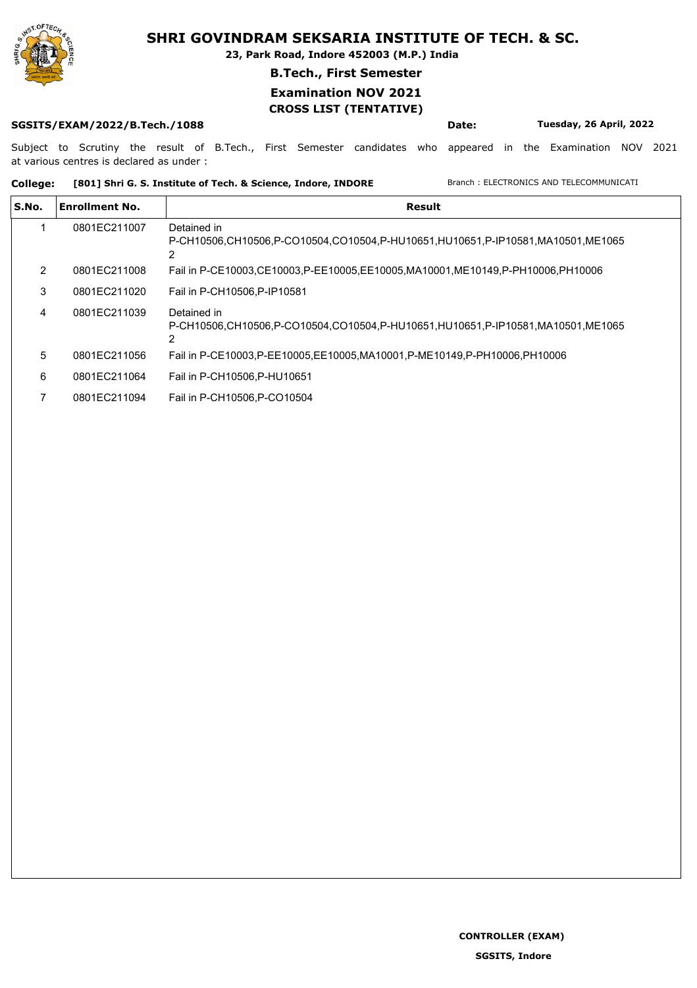

**23, Park Road, Indore 452003 (M.P.) India**

#### **B.Tech., First Semester**

### **Examination NOV 2021 CROSS LIST (TENTATIVE)**

#### **SGSITS/EXAM/2022/B.Tech./1088 Date: Tuesday, 26 April, 2022**

Subject to Scrutiny the result of B.Tech., First Semester candidates who appeared in the Examination NOV 2021 at various centres is declared as under :

#### College: [801] Shri G. S. Institute of Tech. & Science, Indore, INDORE Branch : ELECTRONICS AND TELECOMMUNICATI

| S.No. | <b>Enrollment No.</b> | Result                                                                                        |
|-------|-----------------------|-----------------------------------------------------------------------------------------------|
|       | 0801EC211007          | Detained in<br>P-CH10506.CH10506.P-CO10504.CO10504.P-HU10651.HU10651.P-IP10581.MA10501.ME1065 |
| 2     | 0801EC211008          | Fail in P-CE10003,CE10003,P-EE10005,EE10005,MA10001,ME10149,P-PH10006,PH10006                 |
| 3     | 0801EC211020          | Fail in P-CH10506.P-IP10581                                                                   |
| 4     | 0801EC211039          | Detained in<br>P-CH10506,CH10506,P-CO10504,CO10504,P-HU10651,HU10651,P-IP10581,MA10501,ME1065 |
| 5     | 0801EC211056          | Fail in P-CE10003, P-EE10005, EE10005, MA10001, P-ME10149, P-PH10006, PH10006                 |
| 6     | 0801EC211064          | Fail in P-CH10506.P-HU10651                                                                   |
|       | 0801EC211094          | Fail in P-CH10506.P-CO10504                                                                   |

**CONTROLLER (EXAM)**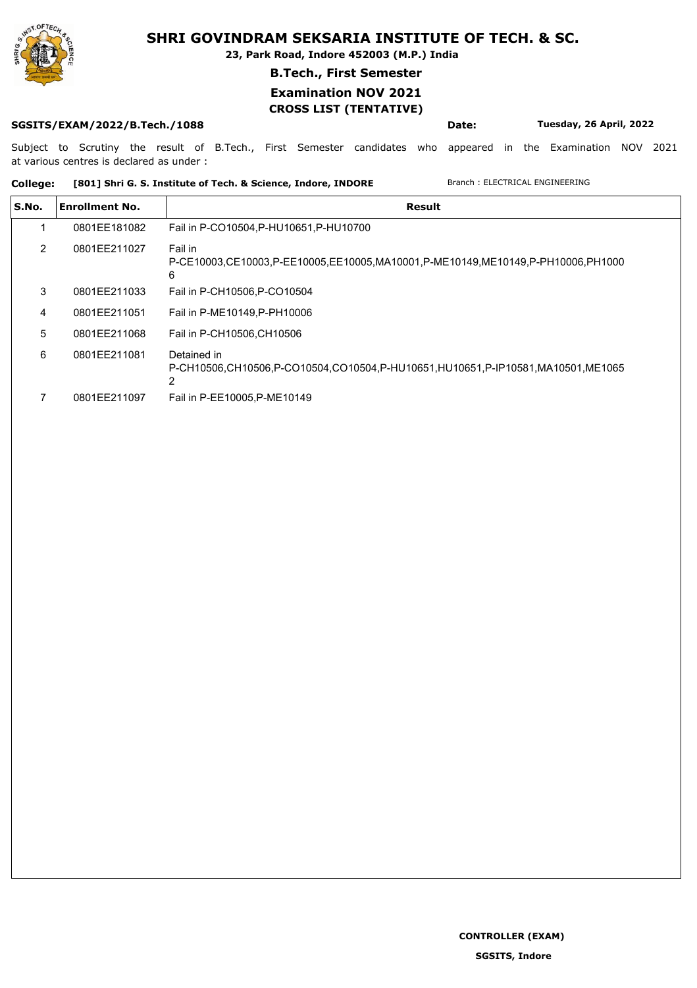

**23, Park Road, Indore 452003 (M.P.) India**

### **B.Tech., First Semester**

# **Examination NOV 2021**

## **CROSS LIST (TENTATIVE)**

### **SGSITS/EXAM/2022/B.Tech./1088 Date: Tuesday, 26 April, 2022**

Subject to Scrutiny the result of B.Tech., First Semester candidates who appeared in the Examination NOV 2021 at various centres is declared as under :

#### College: [801] Shri G. S. Institute of Tech. & Science, Indore, INDORE Branch : ELECTRICAL ENGINEERING

| S.No. | <b>Enrollment No.</b> | Result                                                                                         |
|-------|-----------------------|------------------------------------------------------------------------------------------------|
|       | 0801EE181082          | Fail in P-CO10504, P-HU10651, P-HU10700                                                        |
| 2     | 0801EE211027          | Fail in<br>P-CE10003.CE10003.P-EE10005.EE10005.MA10001.P-ME10149.ME10149.P-PH10006.PH1000<br>6 |
| 3     | 0801EE211033          | Fail in P-CH10506, P-CO10504                                                                   |
| 4     | 0801EE211051          | Fail in P-ME10149, P-PH10006                                                                   |
| 5     | 0801EE211068          | Fail in P-CH10506.CH10506                                                                      |
| 6     | 0801EE211081          | Detained in<br>P-CH10506.CH10506.P-CO10504.CO10504.P-HU10651.HU10651.P-IP10581.MA10501.ME1065  |
|       | 0801EE211097          | Fail in P-EE10005, P-ME10149                                                                   |

**CONTROLLER (EXAM)**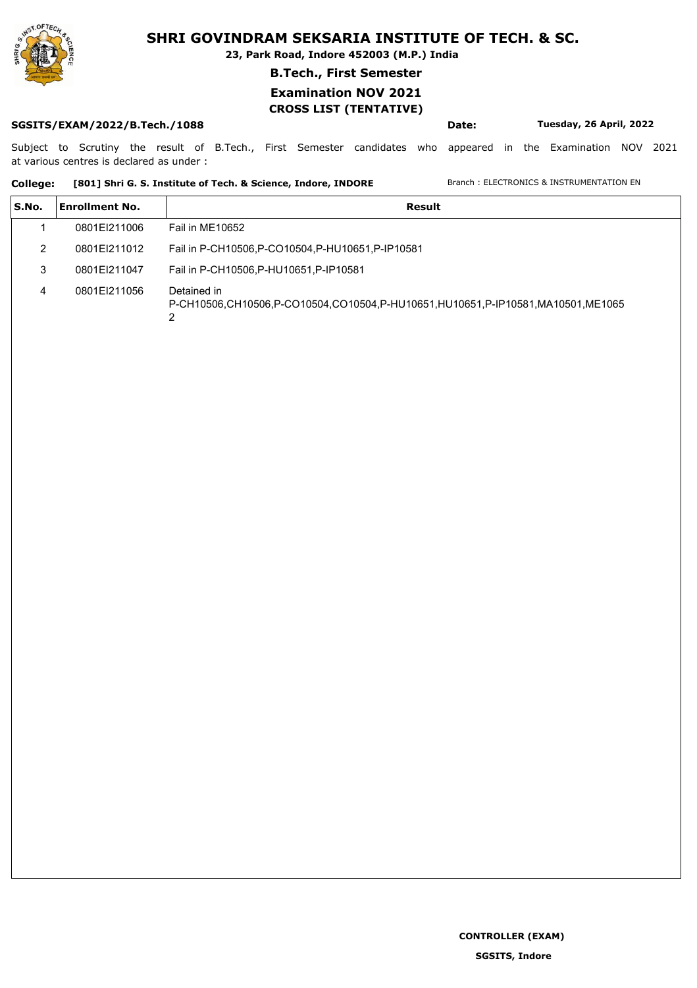

**23, Park Road, Indore 452003 (M.P.) India**

### **B.Tech., First Semester**

### **Examination NOV 2021 CROSS LIST (TENTATIVE)**

#### **SGSITS/EXAM/2022/B.Tech./1088 Date: Tuesday, 26 April, 2022**

Subject to Scrutiny the result of B.Tech., First Semester candidates who appeared in the Examination NOV 2021 at various centres is declared as under :

### College: [801] Shri G. S. Institute of Tech. & Science, Indore, INDORE Branch : ELECTRONICS & INSTRUMENTATION EN

| S.No. | <b>Enrollment No.</b> | Result                                                                                             |
|-------|-----------------------|----------------------------------------------------------------------------------------------------|
|       | 0801EI211006          | Fail in ME10652                                                                                    |
|       | 0801EI211012          | Fail in P-CH10506, P-CO10504, P-HU10651, P-IP10581                                                 |
| 3     | 0801EI211047          | Fail in P-CH10506, P-HU10651, P-IP10581                                                            |
|       | 0801EI211056          | Detained in<br>P-CH10506,CH10506,P-CO10504,CO10504,P-HU10651,HU10651,P-IP10581,MA10501,ME1065<br>2 |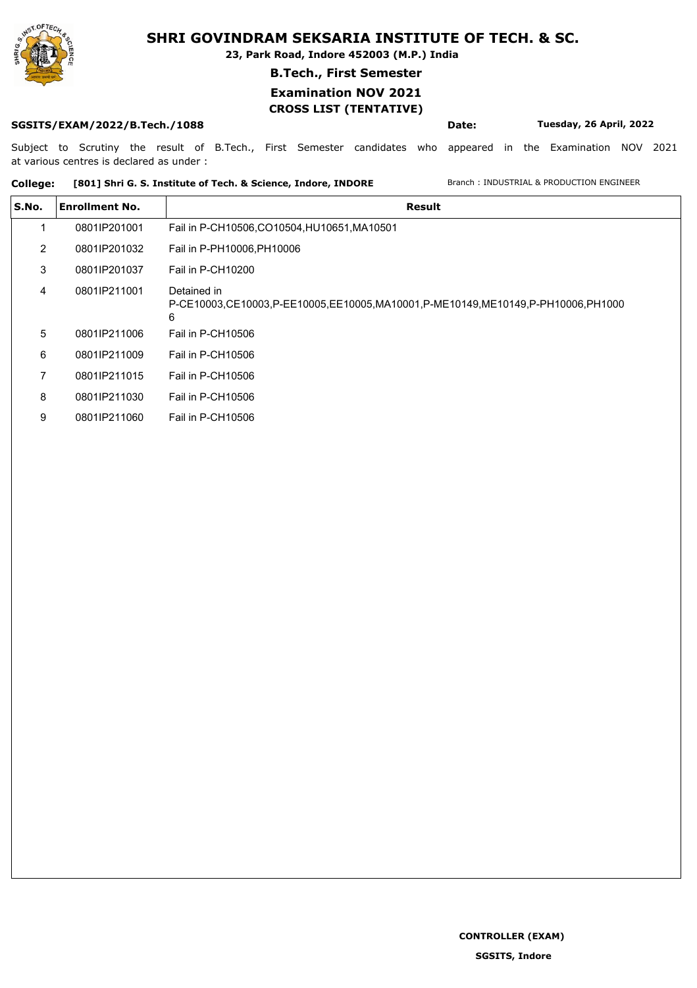

**23, Park Road, Indore 452003 (M.P.) India**

#### **B.Tech., First Semester**

## **Examination NOV 2021**

## **CROSS LIST (TENTATIVE)**

**SGSITS/EXAM/2022/B.Tech./1088 Date: Tuesday, 26 April, 2022**

Subject to Scrutiny the result of B.Tech., First Semester candidates who appeared in the Examination NOV 2021 at various centres is declared as under :

### **College: [801] Shri G. S. Institute of Tech. & Science, Indore, INDORE** Branch : INDUSTRIAL & PRODUCTION ENGINEER

| S.No. | <b>Enrollment No.</b> | <b>Result</b>                                                                                      |  |
|-------|-----------------------|----------------------------------------------------------------------------------------------------|--|
|       | 0801IP201001          | Fail in P-CH10506,CO10504,HU10651,MA10501                                                          |  |
| 2     | 0801IP201032          | Fail in P-PH10006, PH10006                                                                         |  |
| 3     | 0801IP201037          | Fail in P-CH10200                                                                                  |  |
| 4     | 0801IP211001          | Detained in<br>P-CE10003,CE10003,P-EE10005,EE10005,MA10001,P-ME10149,ME10149,P-PH10006,PH1000<br>6 |  |
| 5     | 0801IP211006          | Fail in P-CH10506                                                                                  |  |
| 6     | 0801IP211009          | Fail in P-CH10506                                                                                  |  |
| 7     | 0801IP211015          | Fail in P-CH10506                                                                                  |  |
| 8     | 0801IP211030          | Fail in P-CH10506                                                                                  |  |
| 9     | 0801IP211060          | Fail in P-CH10506                                                                                  |  |

**CONTROLLER (EXAM)**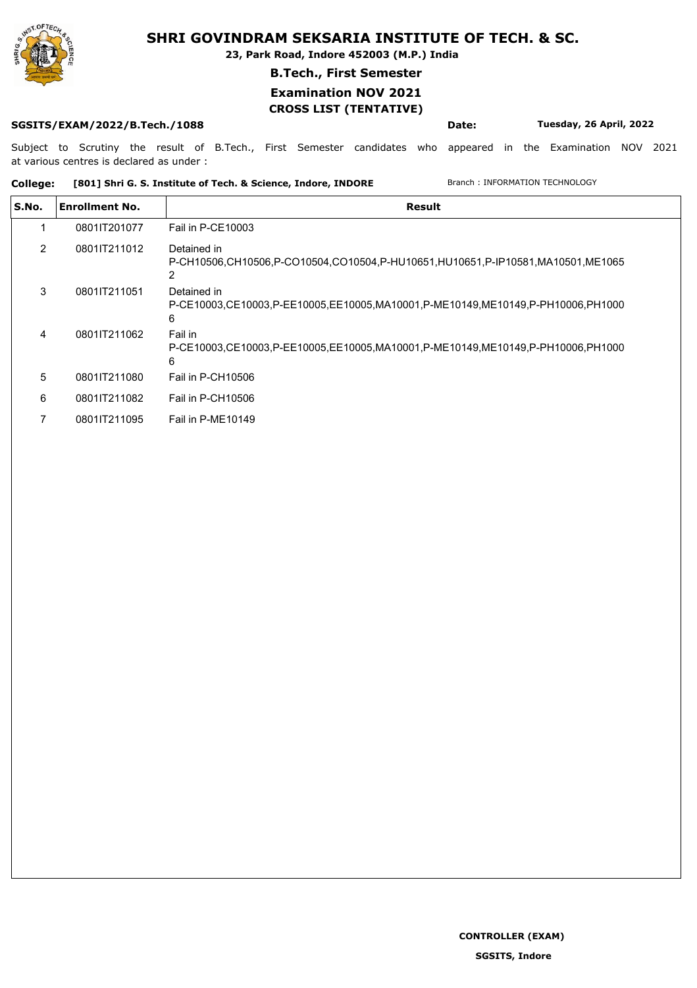

**23, Park Road, Indore 452003 (M.P.) India**

### **B.Tech., First Semester**

### **Examination NOV 2021 CROSS LIST (TENTATIVE)**

### **SGSITS/EXAM/2022/B.Tech./1088 Date: Tuesday, 26 April, 2022**

Subject to Scrutiny the result of B.Tech., First Semester candidates who appeared in the Examination NOV 2021 at various centres is declared as under :

**College: [801] Shri G. S. Institute of Tech. & Science, Indore, INDORE** Branch : INFORMATION TECHNOLOGY

| S.No. | <b>Enrollment No.</b> | Result                                                                                             |
|-------|-----------------------|----------------------------------------------------------------------------------------------------|
|       | 0801IT201077          | Fail in P-CE10003                                                                                  |
| 2     | 0801JT211012          | Detained in<br>P-CH10506,CH10506,P-CO10504,CO10504,P-HU10651,HU10651,P-IP10581,MA10501,ME1065      |
| 3     | 0801IT211051          | Detained in<br>P-CE10003,CE10003,P-EE10005,EE10005,MA10001,P-ME10149,ME10149,P-PH10006,PH1000<br>6 |
| 4     | 0801JT211062          | Fail in<br>P-CE10003.CE10003.P-EE10005.EE10005.MA10001.P-ME10149.ME10149.P-PH10006.PH1000<br>6     |
| 5     | 0801JT211080          | Fail in P-CH10506                                                                                  |
| 6     | 0801JT211082          | Fail in P-CH10506                                                                                  |
|       | 0801IT211095          | Fail in P-ME10149                                                                                  |

**CONTROLLER (EXAM)**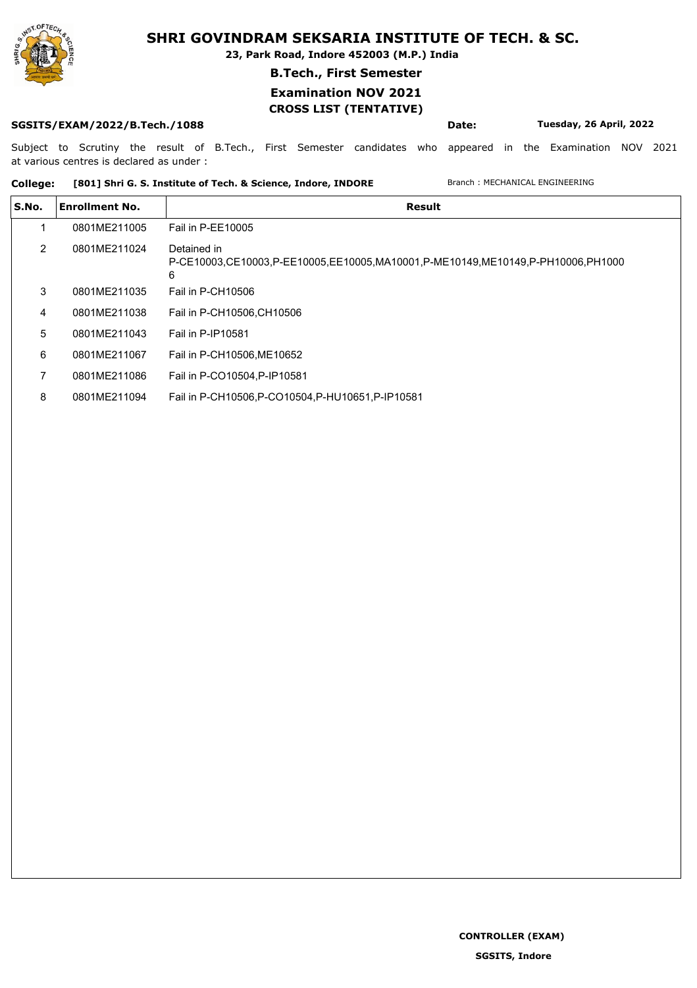

**23, Park Road, Indore 452003 (M.P.) India**

### **B.Tech., First Semester**

## **Examination NOV 2021**

### **CROSS LIST (TENTATIVE)**

**SGSITS/EXAM/2022/B.Tech./1088 Date: Tuesday, 26 April, 2022**

Subject to Scrutiny the result of B.Tech., First Semester candidates who appeared in the Examination NOV 2021 at various centres is declared as under :

#### College: [801] Shri G. S. Institute of Tech. & Science, Indore, INDORE Branch : MECHANICAL ENGINEERING

| S.No. | <b>Enrollment No.</b> | Result                                                                                             |
|-------|-----------------------|----------------------------------------------------------------------------------------------------|
|       | 0801ME211005          | Fail in P-EE10005                                                                                  |
| 2     | 0801ME211024          | Detained in<br>P-CE10003.CE10003.P-EE10005.EE10005.MA10001.P-ME10149.ME10149.P-PH10006.PH1000<br>6 |
| 3     | 0801ME211035          | Fail in P-CH10506                                                                                  |
| 4     | 0801ME211038          | Fail in P-CH10506, CH10506                                                                         |
| 5     | 0801ME211043          | Fail in P-IP10581                                                                                  |
| 6     | 0801ME211067          | Fail in P-CH10506, ME10652                                                                         |
|       | 0801ME211086          | Fail in P-CO10504, P-IP10581                                                                       |
| 8     | 0801ME211094          | Fail in P-CH10506, P-CO10504, P-HU10651, P-IP10581                                                 |

**CONTROLLER (EXAM)**